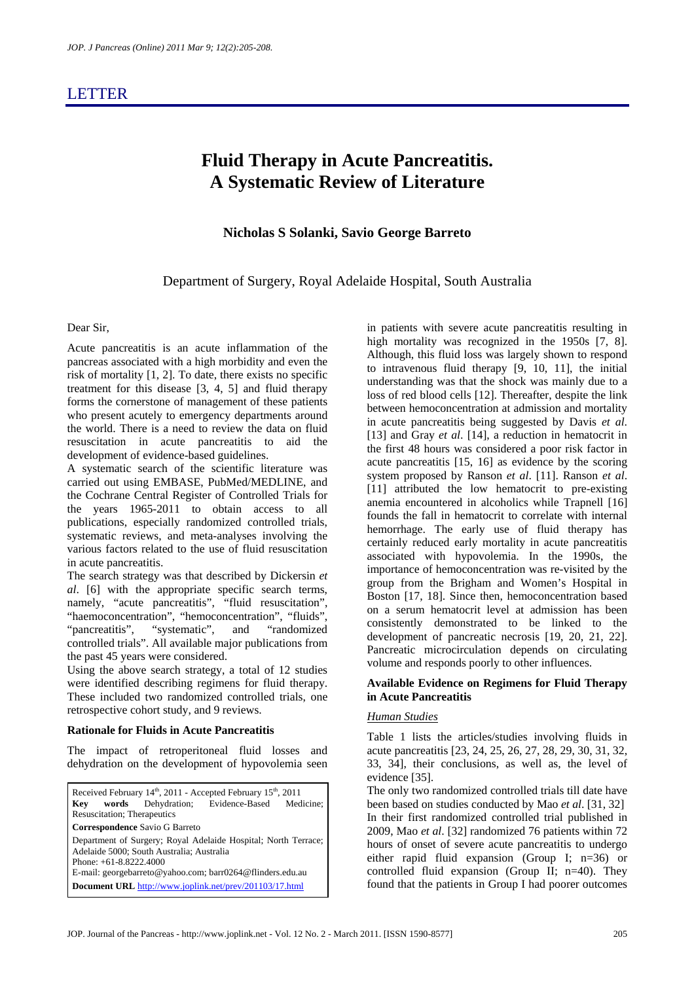## LETTER

# **Fluid Therapy in Acute Pancreatitis. A Systematic Review of Literature**

### **Nicholas S Solanki, Savio George Barreto**

Department of Surgery, Royal Adelaide Hospital, South Australia

#### Dear Sir,

Acute pancreatitis is an acute inflammation of the pancreas associated with a high morbidity and even the risk of mortality [1, 2]. To date, there exists no specific treatment for this disease [3, 4, 5] and fluid therapy forms the cornerstone of management of these patients who present acutely to emergency departments around the world. There is a need to review the data on fluid resuscitation in acute pancreatitis to aid the development of evidence-based guidelines.

A systematic search of the scientific literature was carried out using EMBASE, PubMed/MEDLINE, and the Cochrane Central Register of Controlled Trials for the years 1965-2011 to obtain access to all publications, especially randomized controlled trials, systematic reviews, and meta-analyses involving the various factors related to the use of fluid resuscitation in acute pancreatitis.

The search strategy was that described by Dickersin *et al*. [6] with the appropriate specific search terms, namely, "acute pancreatitis", "fluid resuscitation", "haemoconcentration", "hemoconcentration", "fluids", "pancreatitis", "systematic", and "randomized controlled trials". All available major publications from the past 45 years were considered.

Using the above search strategy, a total of 12 studies were identified describing regimens for fluid therapy. These included two randomized controlled trials, one retrospective cohort study, and 9 reviews.

#### **Rationale for Fluids in Acute Pancreatitis**

The impact of retroperitoneal fluid losses and dehydration on the development of hypovolemia seen

Received February  $14^{\text{th}}$ , 2011 - Accepted February  $15^{\text{th}}$ , 2011 **Key words** Dehydration; Evidence-Based Medicine; Resuscitation; Therapeutics **Correspondence** Savio G Barreto Department of Surgery; Royal Adelaide Hospital; North Terrace; Adelaide 5000; South Australia; Australia Phone: +61-8.8222.4000 E-mail: georgebarreto@yahoo.com; barr0264@flinders.edu.au **Document URL** http://www.joplink.net/prev/201103/17.html

in patients with severe acute pancreatitis resulting in high mortality was recognized in the 1950s [7, 8]. Although, this fluid loss was largely shown to respond to intravenous fluid therapy [9, 10, 11], the initial understanding was that the shock was mainly due to a loss of red blood cells [12]. Thereafter, despite the link between hemoconcentration at admission and mortality in acute pancreatitis being suggested by Davis *et al*. [13] and Gray *et al.* [14], a reduction in hematocrit in the first 48 hours was considered a poor risk factor in acute pancreatitis [15, 16] as evidence by the scoring system proposed by Ranson *et al*. [11]. Ranson *et al*. [11] attributed the low hematocrit to pre-existing anemia encountered in alcoholics while Trapnell [16] founds the fall in hematocrit to correlate with internal hemorrhage. The early use of fluid therapy has certainly reduced early mortality in acute pancreatitis associated with hypovolemia. In the 1990s, the importance of hemoconcentration was re-visited by the group from the Brigham and Women's Hospital in Boston [17, 18]. Since then, hemoconcentration based on a serum hematocrit level at admission has been consistently demonstrated to be linked to the development of pancreatic necrosis [19, 20, 21, 22]. Pancreatic microcirculation depends on circulating volume and responds poorly to other influences.

#### **Available Evidence on Regimens for Fluid Therapy in Acute Pancreatitis**

#### *Human Studies*

Table 1 lists the articles/studies involving fluids in acute pancreatitis [23, 24, 25, 26, 27, 28, 29, 30, 31, 32, 33, 34], their conclusions, as well as, the level of evidence [35].

The only two randomized controlled trials till date have been based on studies conducted by Mao *et al*. [31, 32] In their first randomized controlled trial published in 2009, Mao *et al*. [32] randomized 76 patients within 72 hours of onset of severe acute pancreatitis to undergo either rapid fluid expansion (Group I; n=36) or controlled fluid expansion (Group II; n=40). They found that the patients in Group I had poorer outcomes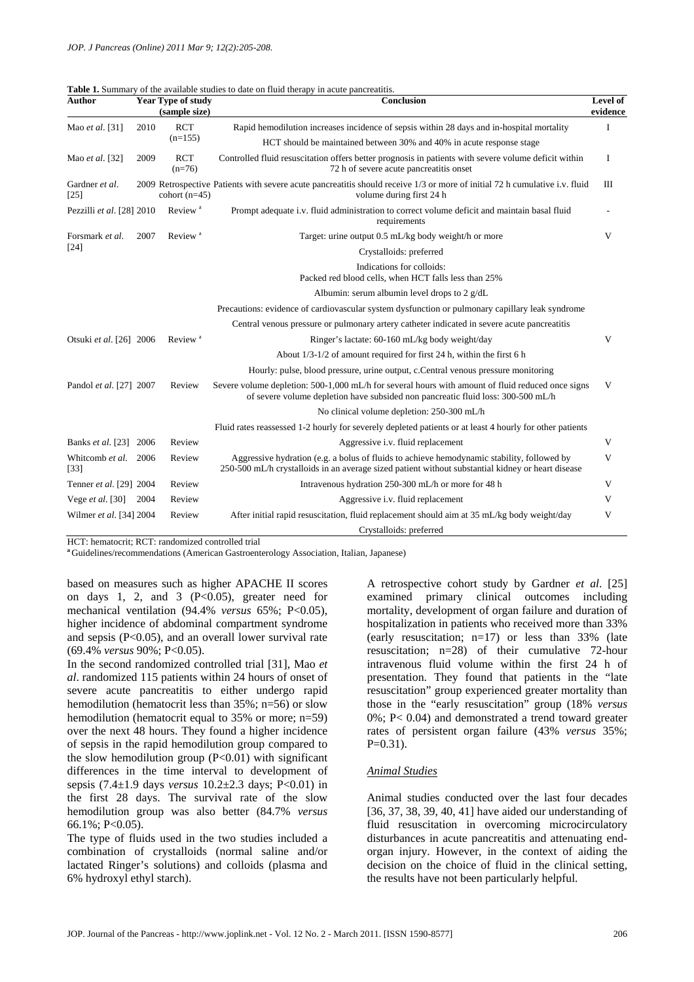| Author                    |      | <b>Year Type of study</b><br>(sample size) | <b>Table 1.</b> Bullimary of the available studies to date on fluid therapy in active panercatitis.<br>Conclusion                                                                               | Level of<br>evidence |  |
|---------------------------|------|--------------------------------------------|-------------------------------------------------------------------------------------------------------------------------------------------------------------------------------------------------|----------------------|--|
| Mao et al. [31]           | 2010 | <b>RCT</b><br>$(n=155)$                    | Rapid hemodilution increases incidence of sepsis within 28 days and in-hospital mortality                                                                                                       |                      |  |
|                           |      |                                            | HCT should be maintained between 30% and 40% in acute response stage                                                                                                                            |                      |  |
| Mao et al. [32]           | 2009 | <b>RCT</b><br>$(n=76)$                     | Controlled fluid resuscitation offers better prognosis in patients with severe volume deficit within<br>72 h of severe acute pancreatitis onset                                                 |                      |  |
| Gardner et al.<br>$[25]$  |      | cohort $(n=45)$                            | 2009 Retrospective Patients with severe acute pancreatitis should receive 1/3 or more of initial 72 h cumulative i.v. fluid<br>volume during first 24 h                                         |                      |  |
| Pezzilli et al. [28] 2010 |      | Review <sup>a</sup>                        | Prompt adequate i.v. fluid administration to correct volume deficit and maintain basal fluid<br>requirements                                                                                    |                      |  |
| Forsmark et al.<br>[24]   | 2007 | Review <sup>a</sup>                        | Target: urine output 0.5 mL/kg body weight/h or more                                                                                                                                            | V                    |  |
|                           |      |                                            | Crystalloids: preferred                                                                                                                                                                         |                      |  |
|                           |      |                                            | Indications for colloids:<br>Packed red blood cells, when HCT falls less than 25%                                                                                                               |                      |  |
|                           |      |                                            | Albumin: serum albumin level drops to 2 g/dL                                                                                                                                                    |                      |  |
|                           |      |                                            | Precautions: evidence of cardiovascular system dysfunction or pulmonary capillary leak syndrome                                                                                                 |                      |  |
|                           |      |                                            | Central venous pressure or pulmonary artery catheter indicated in severe acute pancreatitis                                                                                                     |                      |  |
| Otsuki et al. [26] 2006   |      | Review <sup>a</sup>                        | Ringer's lactate: 60-160 mL/kg body weight/day                                                                                                                                                  | V                    |  |
|                           |      |                                            | About $1/3$ -1/2 of amount required for first 24 h, within the first 6 h                                                                                                                        |                      |  |
|                           |      |                                            | Hourly: pulse, blood pressure, urine output, c. Central venous pressure monitoring                                                                                                              |                      |  |
| Pandol et al. [27] 2007   |      | Review                                     | Severe volume depletion: 500-1,000 mL/h for several hours with amount of fluid reduced once signs<br>of severe volume depletion have subsided non pancreatic fluid loss: 300-500 mL/h           | V                    |  |
|                           |      |                                            | No clinical volume depletion: 250-300 mL/h                                                                                                                                                      |                      |  |
|                           |      |                                            | Fluid rates reassessed 1-2 hourly for severely depleted patients or at least 4 hourly for other patients                                                                                        |                      |  |
| <b>Banks et al.</b> [23]  | 2006 | Review                                     | Aggressive i.v. fluid replacement                                                                                                                                                               | V                    |  |
| Whitcomb et al.<br>$[33]$ | 2006 | Review                                     | Aggressive hydration (e.g. a bolus of fluids to achieve hemodynamic stability, followed by<br>250-500 mL/h crystalloids in an average sized patient without substantial kidney or heart disease | V                    |  |
| Tenner et al. [29] 2004   |      | Review                                     | Intravenous hydration 250-300 mL/h or more for 48 h                                                                                                                                             | V                    |  |
| Vege <i>et al.</i> [30]   | 2004 | Review                                     | Aggressive i.v. fluid replacement                                                                                                                                                               | V                    |  |
| Wilmer et al. [34] 2004   |      | Review                                     | After initial rapid resuscitation, fluid replacement should aim at 35 mL/kg body weight/day                                                                                                     | V                    |  |
|                           |      |                                            | Crystalloids: preferred                                                                                                                                                                         |                      |  |

|  | <b>Table 1.</b> Summary of the available studies to date on fluid therapy in acute pancreatitis. |
|--|--------------------------------------------------------------------------------------------------|
|  |                                                                                                  |

HCT: hematocrit; RCT: randomized controlled trial

**<sup>a</sup>**Guidelines/recommendations (American Gastroenterology Association, Italian, Japanese)

based on measures such as higher APACHE II scores on days 1, 2, and 3  $(P<0.05)$ , greater need for mechanical ventilation (94.4% *versus* 65%; P<0.05), higher incidence of abdominal compartment syndrome and sepsis  $(P<0.05)$ , and an overall lower survival rate (69.4% *versus* 90%; P<0.05).

In the second randomized controlled trial [31], Mao *et al*. randomized 115 patients within 24 hours of onset of severe acute pancreatitis to either undergo rapid hemodilution (hematocrit less than 35%; n=56) or slow hemodilution (hematocrit equal to 35% or more; n=59) over the next 48 hours. They found a higher incidence of sepsis in the rapid hemodilution group compared to the slow hemodilution group  $(P<0.01)$  with significant differences in the time interval to development of sepsis (7.4±1.9 days *versus* 10.2±2.3 days; P<0.01) in the first 28 days. The survival rate of the slow hemodilution group was also better (84.7% *versus* 66.1%; P<0.05).

The type of fluids used in the two studies included a combination of crystalloids (normal saline and/or lactated Ringer's solutions) and colloids (plasma and 6% hydroxyl ethyl starch).

A retrospective cohort study by Gardner *et al*. [25] examined primary clinical outcomes including mortality, development of organ failure and duration of hospitalization in patients who received more than 33% (early resuscitation;  $n=17$ ) or less than 33% (late resuscitation; n=28) of their cumulative 72-hour intravenous fluid volume within the first 24 h of presentation. They found that patients in the "late resuscitation" group experienced greater mortality than those in the "early resuscitation" group (18% *versus* 0%; P< 0.04) and demonstrated a trend toward greater rates of persistent organ failure (43% *versus* 35%;  $P=0.31$ ).

#### *Animal Studies*

Animal studies conducted over the last four decades [36, 37, 38, 39, 40, 41] have aided our understanding of fluid resuscitation in overcoming microcirculatory disturbances in acute pancreatitis and attenuating endorgan injury. However, in the context of aiding the decision on the choice of fluid in the clinical setting, the results have not been particularly helpful.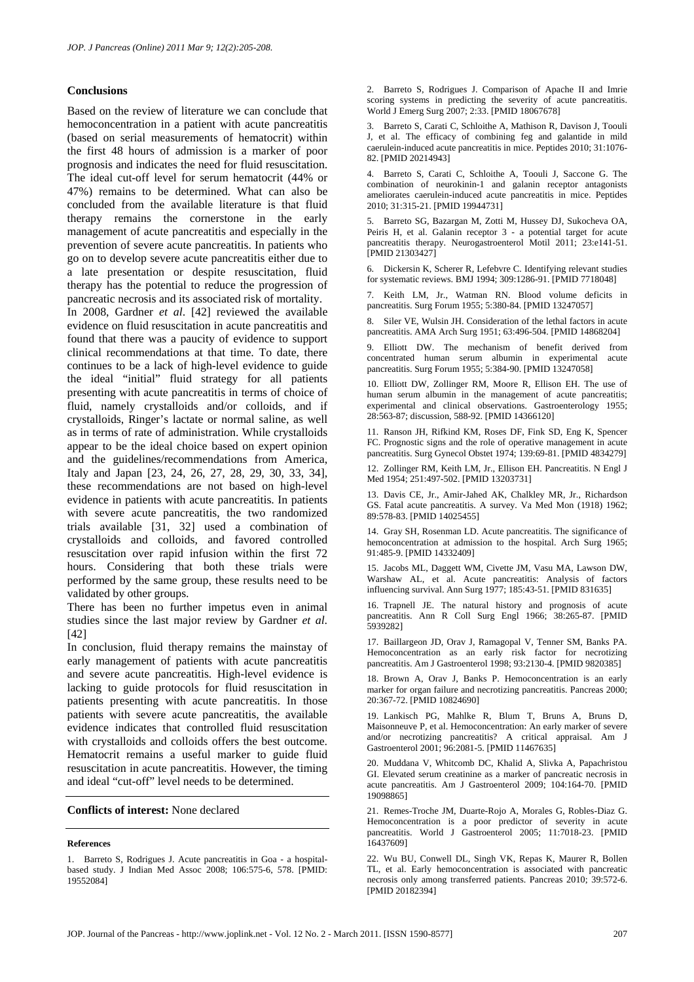#### **Conclusions**

Based on the review of literature we can conclude that hemoconcentration in a patient with acute pancreatitis (based on serial measurements of hematocrit) within the first 48 hours of admission is a marker of poor prognosis and indicates the need for fluid resuscitation. The ideal cut-off level for serum hematocrit (44% or 47%) remains to be determined. What can also be concluded from the available literature is that fluid therapy remains the cornerstone in the early management of acute pancreatitis and especially in the prevention of severe acute pancreatitis. In patients who go on to develop severe acute pancreatitis either due to a late presentation or despite resuscitation, fluid therapy has the potential to reduce the progression of pancreatic necrosis and its associated risk of mortality.

In 2008, Gardner *et al*. [42] reviewed the available evidence on fluid resuscitation in acute pancreatitis and found that there was a paucity of evidence to support clinical recommendations at that time. To date, there continues to be a lack of high-level evidence to guide the ideal "initial" fluid strategy for all patients presenting with acute pancreatitis in terms of choice of fluid, namely crystalloids and/or colloids, and if crystalloids, Ringer's lactate or normal saline, as well as in terms of rate of administration. While crystalloids appear to be the ideal choice based on expert opinion and the guidelines/recommendations from America, Italy and Japan [23, 24, 26, 27, 28, 29, 30, 33, 34], these recommendations are not based on high-level evidence in patients with acute pancreatitis. In patients with severe acute pancreatitis, the two randomized trials available [31, 32] used a combination of crystalloids and colloids, and favored controlled resuscitation over rapid infusion within the first 72 hours. Considering that both these trials were performed by the same group, these results need to be validated by other groups.

There has been no further impetus even in animal studies since the last major review by Gardner *et al*. [42]

In conclusion, fluid therapy remains the mainstay of early management of patients with acute pancreatitis and severe acute pancreatitis. High-level evidence is lacking to guide protocols for fluid resuscitation in patients presenting with acute pancreatitis. In those patients with severe acute pancreatitis, the available evidence indicates that controlled fluid resuscitation with crystalloids and colloids offers the best outcome. Hematocrit remains a useful marker to guide fluid resuscitation in acute pancreatitis. However, the timing and ideal "cut-off" level needs to be determined.

#### **Conflicts of interest:** None declared

#### **References**

2. Barreto S, Rodrigues J. Comparison of Apache II and Imrie scoring systems in predicting the severity of acute pancreatitis. World J Emerg Surg 2007; 2:33. [PMID 18067678]

3. Barreto S, Carati C, Schloithe A, Mathison R, Davison J, Toouli J, et al. The efficacy of combining feg and galantide in mild caerulein-induced acute pancreatitis in mice. Peptides 2010; 31:1076- 82. [PMID 20214943]

4. Barreto S, Carati C, Schloithe A, Toouli J, Saccone G. The combination of neurokinin-1 and galanin receptor antagonists ameliorates caerulein-induced acute pancreatitis in mice. Peptides 2010; 31:315-21. [PMID 19944731]

5. Barreto SG, Bazargan M, Zotti M, Hussey DJ, Sukocheva OA, Peiris H, et al. Galanin receptor 3 - a potential target for acute pancreatitis therapy. Neurogastroenterol Motil 2011; 23:e141-51. [PMID 21303427]

6. Dickersin K, Scherer R, Lefebvre C. Identifying relevant studies for systematic reviews. BMJ 1994; 309:1286-91. [PMID 7718048]

7. Keith LM, Jr., Watman RN. Blood volume deficits in pancreatitis. Surg Forum 1955; 5:380-84. [PMID 13247057]

8. Siler VE, Wulsin JH. Consideration of the lethal factors in acute pancreatitis. AMA Arch Surg 1951; 63:496-504. [PMID 14868204]

9. Elliott DW. The mechanism of benefit derived from concentrated human serum albumin in experimental acute pancreatitis. Surg Forum 1955; 5:384-90. [PMID 13247058]

10. Elliott DW, Zollinger RM, Moore R, Ellison EH. The use of human serum albumin in the management of acute pancreatitis; experimental and clinical observations. Gastroenterology 1955; 28:563-87; discussion, 588-92. [PMID 14366120]

11. Ranson JH, Rifkind KM, Roses DF, Fink SD, Eng K, Spencer FC. Prognostic signs and the role of operative management in acute pancreatitis. Surg Gynecol Obstet 1974; 139:69-81. [PMID 4834279]

12. Zollinger RM, Keith LM, Jr., Ellison EH. Pancreatitis. N Engl J Med 1954; 251:497-502. [PMID 13203731]

13. Davis CE, Jr., Amir-Jahed AK, Chalkley MR, Jr., Richardson GS. Fatal acute pancreatitis. A survey. Va Med Mon (1918) 1962; 89:578-83. [PMID 14025455]

14. Gray SH, Rosenman LD. Acute pancreatitis. The significance of hemoconcentration at admission to the hospital. Arch Surg 1965; 91:485-9. [PMID 14332409]

15. Jacobs ML, Daggett WM, Civette JM, Vasu MA, Lawson DW, Warshaw AL, et al. Acute pancreatitis: Analysis of factors influencing survival. Ann Surg 1977; 185:43-51. [PMID 831635]

16. Trapnell JE. The natural history and prognosis of acute pancreatitis. Ann R Coll Surg Engl 1966; 38:265-87. [PMID 5939282]

17. Baillargeon JD, Orav J, Ramagopal V, Tenner SM, Banks PA. Hemoconcentration as an early risk factor for necrotizing pancreatitis. Am J Gastroenterol 1998; 93:2130-4. [PMID 9820385]

18. Brown A, Orav J, Banks P. Hemoconcentration is an early marker for organ failure and necrotizing pancreatitis. Pancreas 2000; 20:367-72. [PMID 10824690]

19. Lankisch PG, Mahlke R, Blum T, Bruns A, Bruns D, Maisonneuve P, et al. Hemoconcentration: An early marker of severe and/or necrotizing pancreatitis? A critical appraisal. Am J Gastroenterol 2001; 96:2081-5. [PMID 11467635]

20. Muddana V, Whitcomb DC, Khalid A, Slivka A, Papachristou GI. Elevated serum creatinine as a marker of pancreatic necrosis in acute pancreatitis. Am J Gastroenterol 2009; 104:164-70. [PMID 19098865]

21. Remes-Troche JM, Duarte-Rojo A, Morales G, Robles-Diaz G. Hemoconcentration is a poor predictor of severity in acute pancreatitis. World J Gastroenterol 2005; 11:7018-23. [PMID 16437609]

22. Wu BU, Conwell DL, Singh VK, Repas K, Maurer R, Bollen TL, et al. Early hemoconcentration is associated with pancreatic necrosis only among transferred patients. Pancreas 2010; 39:572-6. [PMID 20182394]

<sup>1.</sup> Barreto S, Rodrigues J. Acute pancreatitis in Goa - a hospitalbased study. J Indian Med Assoc 2008; 106:575-6, 578. [PMID: 19552084]